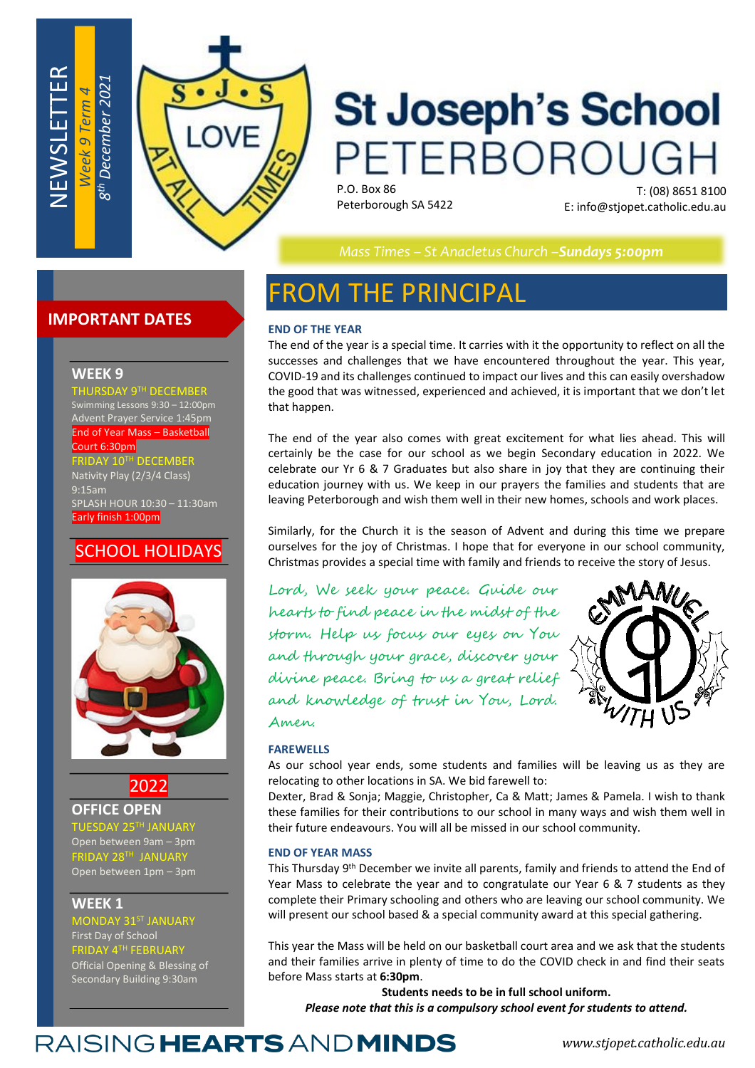

# **St Joseph's School** PETERBOROUGH

P.O. Box 86 Peterborough SA 5422

T: (08) 8651 8100 E: info@stjopet.catholic.edu.au

*Mass Times – St Anacletus Church –Sundays 5:00pm*

## **IMPORTANT DATES**

### **WEEK 9**

NEWSLETTER

*Week 9 Term 4*

THURSDAY 9TH DECEMBER Swimming Lessons 9:30 – 12:00pm

Advent Prayer Service 1:45pm End of Year Mass – Basketball

#### Court 6:30pm

FRIDAY 10TH DECEMBER Nativity Play (2/3/4 Class) 9:15am SPLASH HOUR 10:30 – 11:30am Early finish 1:00pm

## SCHOOL HOLIDAYS



2022

**OFFICE OPEN** 

 $\mathsf{A\mathsf{Y}}$  25 $\mathsf{^{TH}}$  Janu Open between 9am – 3pm FRIDAY 28TH JANUARY Open between 1pm – 3pm

### **WEEK 1**

MONDAY 31ST JANUARY First Day of School FRIDAY 4TH FEBRUARY Official Opening & Blessing of Secondary Building 9:30am

## FROM THE PRINCIPAL

### **END OF THE YEAR**

The end of the year is a special time. It carries with it the opportunity to reflect on all the successes and challenges that we have encountered throughout the year. This year, COVID-19 and its challenges continued to impact our lives and this can easily overshadow the good that was witnessed, experienced and achieved, it is important that we don't let that happen.

The end of the year also comes with great excitement for what lies ahead. This will certainly be the case for our school as we begin Secondary education in 2022. We celebrate our Yr 6 & 7 Graduates but also share in joy that they are continuing their education journey with us. We keep in our prayers the families and students that are leaving Peterborough and wish them well in their new homes, schools and work places.

Similarly, for the Church it is the season of Advent and during this time we prepare ourselves for the joy of Christmas. I hope that for everyone in our school community, Christmas provides a special time with family and friends to receive the story of Jesus.

Lord, We seek your peace. Guide our hearts to find peace in the midst of the storm. Help us focus our eyes on You and through your grace, discover your divine peace. Bring to us a great relief and knowledge of trust in You, Lord. Amen.



#### **FAREWELLS**

As our school year ends, some students and families will be leaving us as they are relocating to other locations in SA. We bid farewell to:

Dexter, Brad & Sonja; Maggie, Christopher, Ca & Matt; James & Pamela. I wish to thank these families for their contributions to our school in many ways and wish them well in their future endeavours. You will all be missed in our school community.

#### **END OF YEAR MASS**

This Thursday 9<sup>th</sup> December we invite all parents, family and friends to attend the End of Year Mass to celebrate the year and to congratulate our Year 6 & 7 students as they complete their Primary schooling and others who are leaving our school community. We will present our school based & a special community award at this special gathering.

This year the Mass will be held on our basketball court area and we ask that the students and their families arrive in plenty of time to do the COVID check in and find their seats before Mass starts at **6:30pm**.

**Students needs to be in full school uniform.** *Please note that this is a compulsory school event for students to attend.*

## RAISING HEARTS AND MINDS

*www.stjopet.catholic.edu.au*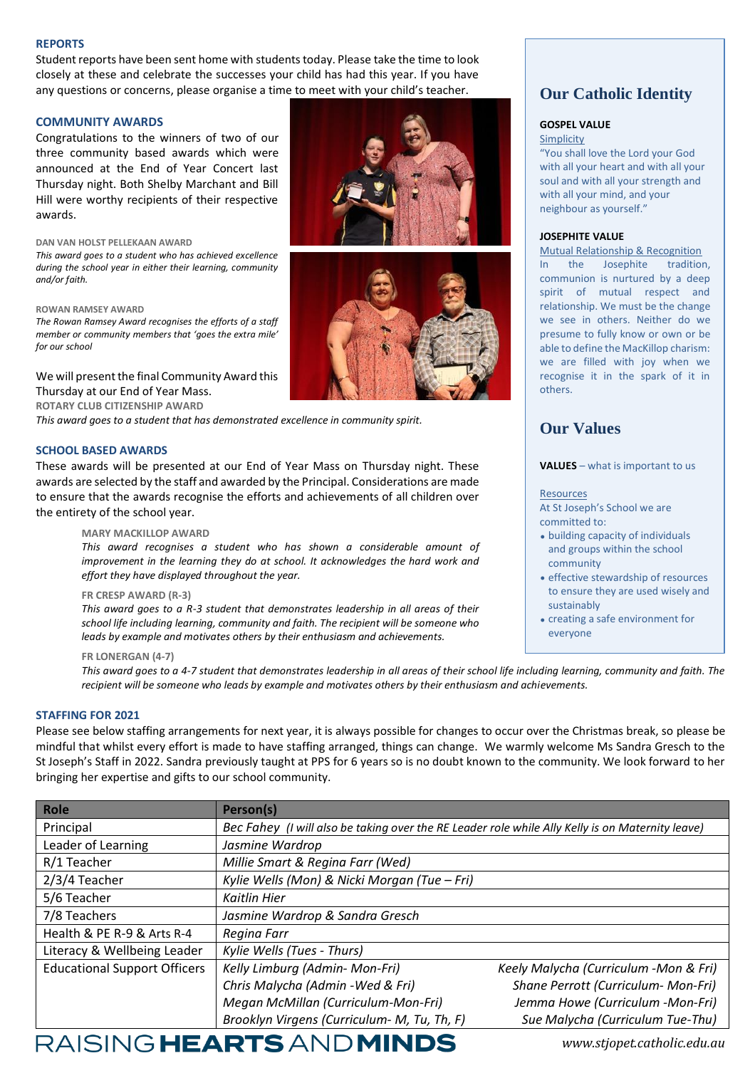#### **REPORTS**

Student reports have been sent home with students today. Please take the time to look closely at these and celebrate the successes your child has had this year. If you have any questions or concerns, please organise a time to meet with your child's teacher.

#### **COMMUNITY AWARDS**

Congratulations to the winners of two of our three community based awards which were announced at the End of Year Concert last Thursday night. Both Shelby Marchant and Bill Hill were worthy recipients of their respective awards.

#### **DAN VAN HOLST PELLEKAAN AWARD**

*This award goes to a student who has achieved excellence during the school year in either their learning, community and/or faith.* 

#### **ROWAN RAMSEY AWARD**

*The Rowan Ramsey Award recognises the efforts of a staff member or community members that 'goes the extra mile' for our school*

We will present the final Community Award this

Thursday at our End of Year Mass.

**ROTARY CLUB CITIZENSHIP AWARD**

*This award goes to a student that has demonstrated excellence in community spirit.* 

#### **SCHOOL BASED AWARDS**

These awards will be presented at our End of Year Mass on Thursday night. These awards are selected by the staff and awarded by the Principal. Considerations are made to ensure that the awards recognise the efforts and achievements of all children over the entirety of the school year.

#### **MARY MACKILLOP AWARD**

*This award recognises a student who has shown a considerable amount of improvement in the learning they do at school. It acknowledges the hard work and effort they have displayed throughout the year.* 

#### **FR CRESP AWARD (R-3)**

*This award goes to a R-3 student that demonstrates leadership in all areas of their school life including learning, community and faith. The recipient will be someone who leads by example and motivates others by their enthusiasm and achievements.* 

#### **FR LONERGAN (4-7)**

*This award goes to a 4-7 student that demonstrates leadership in all areas of their school life including learning, community and faith. The recipient will be someone who leads by example and motivates others by their enthusiasm and achievements.* 

#### **STAFFING FOR 2021**

Please see below staffing arrangements for next year, it is always possible for changes to occur over the Christmas break, so please be mindful that whilst every effort is made to have staffing arranged, things can change. We warmly welcome Ms Sandra Gresch to the St Joseph's Staff in 2022. Sandra previously taught at PPS for 6 years so is no doubt known to the community. We look forward to her bringing her expertise and gifts to our school community.

| <b>Role</b>                                                         | Person(s)                                                                                        |                                       |  |
|---------------------------------------------------------------------|--------------------------------------------------------------------------------------------------|---------------------------------------|--|
| Principal                                                           | Bec Fahey (I will also be taking over the RE Leader role while Ally Kelly is on Maternity leave) |                                       |  |
| Leader of Learning                                                  | Jasmine Wardrop                                                                                  |                                       |  |
| R/1 Teacher                                                         | Millie Smart & Regina Farr (Wed)                                                                 |                                       |  |
| 2/3/4 Teacher                                                       | Kylie Wells (Mon) & Nicki Morgan (Tue - Fri)                                                     |                                       |  |
| 5/6 Teacher                                                         | Kaitlin Hier                                                                                     |                                       |  |
| 7/8 Teachers                                                        | Jasmine Wardrop & Sandra Gresch                                                                  |                                       |  |
| Health & PE R-9 & Arts R-4                                          | Regina Farr                                                                                      |                                       |  |
| Literacy & Wellbeing Leader                                         | Kylie Wells (Tues - Thurs)                                                                       |                                       |  |
| <b>Educational Support Officers</b>                                 | Kelly Limburg (Admin- Mon-Fri)                                                                   | Keely Malycha (Curriculum -Mon & Fri) |  |
|                                                                     | Chris Malycha (Admin - Wed & Fri)                                                                | Shane Perrott (Curriculum- Mon-Fri)   |  |
|                                                                     | Megan McMillan (Curriculum-Mon-Fri)                                                              | Jemma Howe (Curriculum -Mon-Fri)      |  |
|                                                                     | Brooklyn Virgens (Curriculum- M, Tu, Th, F)                                                      | Sue Malycha (Curriculum Tue-Thu)      |  |
| $\mathbf{A} \mathbf{A} \mathbf{A} \mathbf{A} \mathbf{A} \mathbf{A}$ | BEARIN A                                                                                         |                                       |  |

## **Our Catholic Identity**

### **GOSPEL VALUE**

Simplicity

"You shall love the Lord your God with all your heart and with all your soul and with all your strength and with all your mind, and your neighbour as yourself."

#### **JOSEPHITE VALUE**

Mutual Relationship & Recognition In the Josephite tradition, communion is nurtured by a deep spirit of mutual respect and relationship. We must be the change we see in others. Neither do we presume to fully know or own or be able to define the MacKillop charism: we are filled with joy when we recognise it in the spark of it in others.

## **Our Values**

#### **VALUES** – what is important to us

Resources

At St Joseph's School we are committed to:

- building capacity of individuals and groups within the school community
- effective stewardship of resources to ensure they are used wisely and sustainably
- creating a safe environment for everyone





*www.stjopet.catholic.edu.au*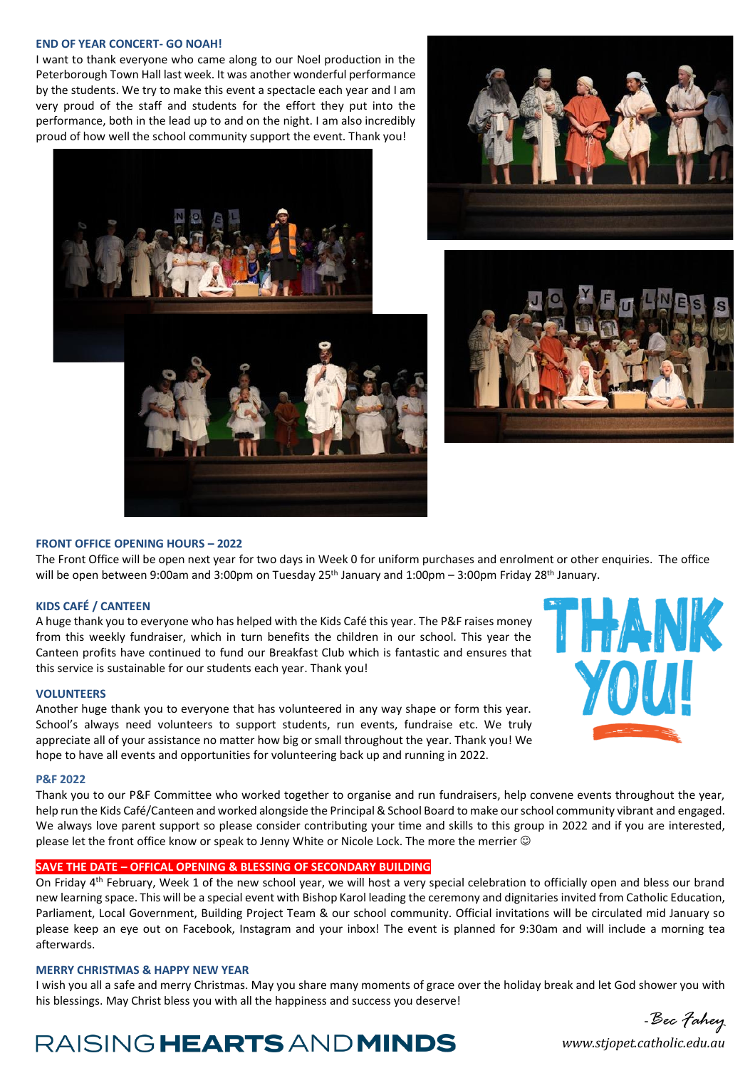#### **END OF YEAR CONCERT- GO NOAH!**

I want to thank everyone who came along to our Noel production in the Peterborough Town Hall last week. It was another wonderful performance by the students. We try to make this event a spectacle each year and I am very proud of the staff and students for the effort they put into the performance, both in the lead up to and on the night. I am also incredibly proud of how well the school community support the event. Thank you!







#### **FRONT OFFICE OPENING HOURS – 2022**

The Front Office will be open next year for two days in Week 0 for uniform purchases and enrolment or other enquiries. The office will be open between 9:00am and 3:00pm on Tuesday 25<sup>th</sup> January and 1:00pm – 3:00pm Friday 28<sup>th</sup> January.

#### **KIDS CAFÉ / CANTEEN**

A huge thank you to everyone who has helped with the Kids Café this year. The P&F raises money from this weekly fundraiser, which in turn benefits the children in our school. This year the Canteen profits have continued to fund our Breakfast Club which is fantastic and ensures that this service is sustainable for our students each year. Thank you!

#### **VOLUNTEERS**

Another huge thank you to everyone that has volunteered in any way shape or form this year. School's always need volunteers to support students, run events, fundraise etc. We truly appreciate all of your assistance no matter how big or small throughout the year. Thank you! We hope to have all events and opportunities for volunteering back up and running in 2022.



#### **P&F 2022**

Thank you to our P&F Committee who worked together to organise and run fundraisers, help convene events throughout the year, help run the Kids Café/Canteen and worked alongside the Principal & School Board to make our school community vibrant and engaged. We always love parent support so please consider contributing your time and skills to this group in 2022 and if you are interested, please let the front office know or speak to Jenny White or Nicole Lock. The more the merrier  $\odot$ 

#### **SAVE THE DATE – OFFICAL OPENING & BLESSING OF SECONDARY BUILDING**

On Friday 4<sup>th</sup> February, Week 1 of the new school year, we will host a very special celebration to officially open and bless our brand new learning space. This will be a special event with Bishop Karol leading the ceremony and dignitaries invited from Catholic Education, Parliament, Local Government, Building Project Team & our school community. Official invitations will be circulated mid January so please keep an eye out on Facebook, Instagram and your inbox! The event is planned for 9:30am and will include a morning tea afterwards.

#### **MERRY CHRISTMAS & HAPPY NEW YEAR**

I wish you all a safe and merry Christmas. May you share many moments of grace over the holiday break and let God shower you with his blessings. May Christ bless you with all the happiness and success you deserve!

## *www.stjopet.catholic.edu.au* -*Bec Fahey*

## RAISING HEARTS AND MINDS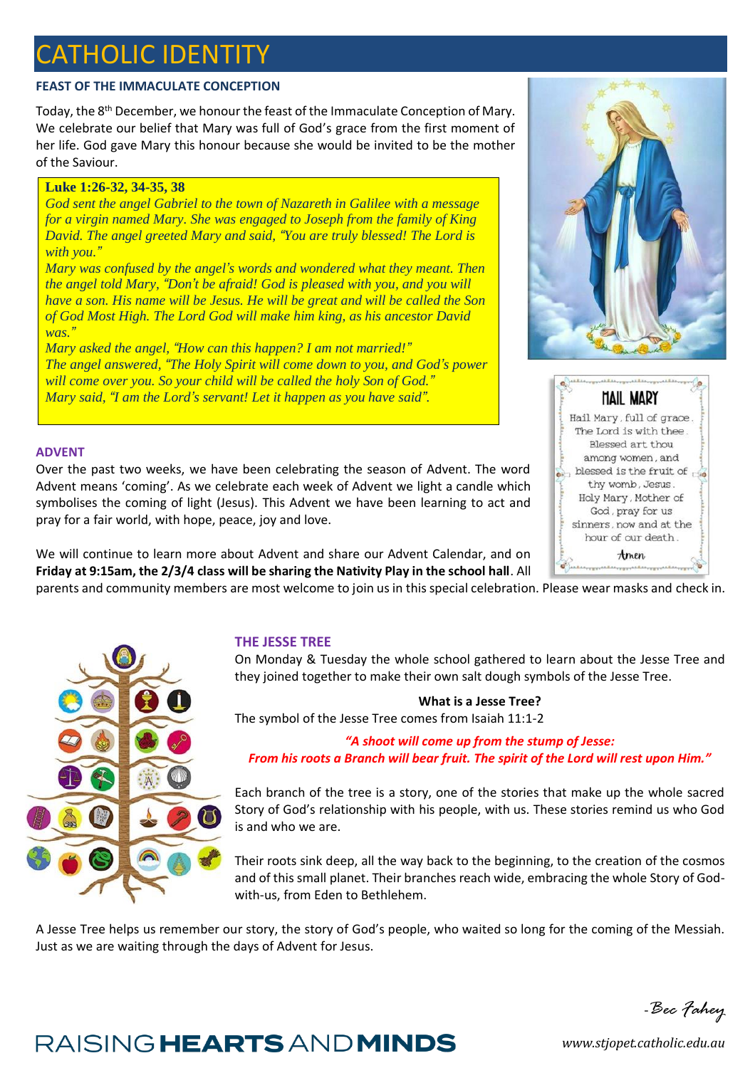## **ATHOLIC IDENTITY**

## **FEAST OF THE IMMACULATE CONCEPTION**

Today, the 8<sup>th</sup> December, we honour the feast of the Immaculate Conception of Mary. We celebrate our belief that Mary was full of God's grace from the first moment of her life. God gave Mary this honour because she would be invited to be the mother of the Saviour.

### **Luke 1:26-32, 34-35, 38**

*God sent the angel Gabriel to the town of Nazareth in Galilee with a message for a virgin named Mary. She was engaged to Joseph from the family of King David. The angel greeted Mary and said, "You are truly blessed! The Lord is with you."*

*Mary was confused by the angel's words and wondered what they meant. Then the angel told Mary, "Don't be afraid! God is pleased with you, and you will have a son. His name will be Jesus. He will be great and will be called the Son of God Most High. The Lord God will make him king, as his ancestor David was."*

*Mary asked the angel, "How can this happen? I am not married!" The angel answered, "The Holy Spirit will come down to you, and God's power will come over you. So your child will be called the holy Son of God." Mary said, "I am the Lord's servant! Let it happen as you have said".*

### **ADVENT**

Over the past two weeks, we have been celebrating the season of Advent. The word Advent means 'coming'. As we celebrate each week of Advent we light a candle which symbolises the coming of light (Jesus). This Advent we have been learning to act and pray for a fair world, with hope, peace, joy and love.

We will continue to learn more about Advent and share our Advent Calendar, and on **Friday at 9:15am, the 2/3/4 class will be sharing the Nativity Play in the school hall**. All

parents and community members are most welcome to join us in this special celebration. Please wear masks and check in.



## **THE JESSE TREE**

On Monday & Tuesday the whole school gathered to learn about the Jesse Tree and they joined together to make their own salt dough symbols of the Jesse Tree.

### **What is a Jesse Tree?**

The symbol of the Jesse Tree comes from Isaiah 11:1-2

*"A shoot will come up from the stump of Jesse: From his roots a Branch will bear fruit. The spirit of the Lord will rest upon Him."*

Each branch of the tree is a story, one of the stories that make up the whole sacred Story of God's relationship with his people, with us. These stories remind us who God is and who we are.

Their roots sink deep, all the way back to the beginning, to the creation of the cosmos and of this small planet. Their branches reach wide, embracing the whole Story of Godwith-us, from Eden to Bethlehem.

A Jesse Tree helps us remember our story, the story of God's people, who waited so long for the coming of the Messiah. Just as we are waiting through the days of Advent for Jesus.



#### **HAIL MARY** Hail Mary, full of grace. The Lord is with thee. Blessed art thou among women, and blessed is the fruit of thy womb, Jesus. Holy Mary, Mother of God, pray for us sinners, now and at the hour of our death. Amen

## -*Bec Fahey*

## RAISING HEARTS AND MINDS

*www.stjopet.catholic.edu.au*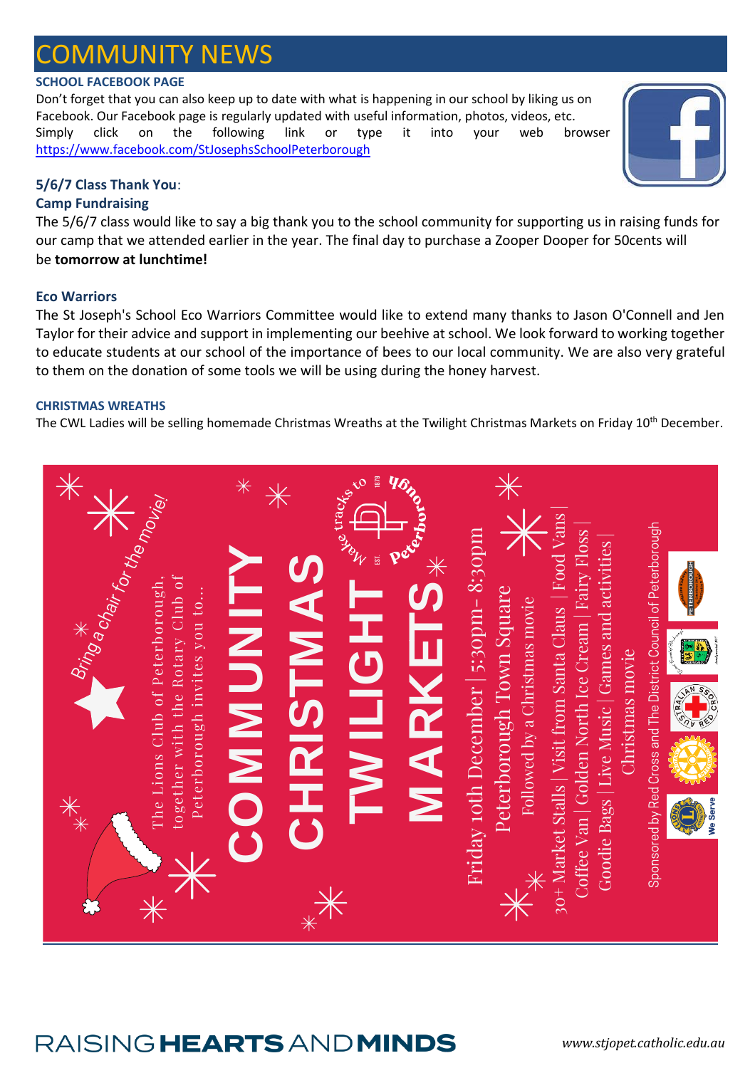## **DMMUNITY NEWS**

## **SCHOOL FACEBOOK PAGE**

Don't forget that you can also keep up to date with what is happening in our school by liking us on Facebook. Our Facebook page is regularly updated with useful information, photos, videos, etc. Simply click on the following link or type it into your web browser <https://www.facebook.com/StJosephsSchoolPeterborough>

## **5/6/7 Class Thank You**:

## **Camp Fundraising**

The 5/6/7 class would like to say a big thank you to the school community for supporting us in raising funds for our camp that we attended earlier in the year. The final day to purchase a Zooper Dooper for 50cents will be **tomorrow at lunchtime!**

## **Eco Warriors**

The St Joseph's School Eco Warriors Committee would like to extend many thanks to Jason O'Connell and Jen Taylor for their advice and support in implementing our beehive at school. We look forward to working together to educate students at our school of the importance of bees to our local community. We are also very grateful to them on the donation of some tools we will be using during the honey harvest.

## **CHRISTMAS WREATHS**

The CWL Ladies will be selling homemade Christmas Wreaths at the Twilight Christmas Markets on Friday 10<sup>th</sup> December.

|                                                                                                                                    | $\ast$<br>$\overline{\ast}$         | <b>VOID DEPTH</b>    | X                                                                                                 |                                                                                                                                                                                     |                                                                                |
|------------------------------------------------------------------------------------------------------------------------------------|-------------------------------------|----------------------|---------------------------------------------------------------------------------------------------|-------------------------------------------------------------------------------------------------------------------------------------------------------------------------------------|--------------------------------------------------------------------------------|
|                                                                                                                                    |                                     |                      |                                                                                                   |                                                                                                                                                                                     | <b>PETERBOROUGH</b>                                                            |
| Bring * Chair for the moviel<br>together with the Rotary Club of<br>The Lions Club of Peterborough,<br>Peterborough invites you to | <b>ALINDMOS</b><br><b>CHRISTMAS</b> | TWILIGHT<br>MARKETS* | Friday 10th December   5:30pm-8:30pm<br>Peterborough Town Square<br>Followed by a Christmas movie | 30+ Market Stalls   Visit from Santa Claus   Food Vans<br>Coffee Van   Golden North Ice Cream   Fairy Floss  <br>Goodie Bags   Live Music   Games and activities<br>Christmas movie | Sponsored by Red Cross and The District Council of Peterborough<br>OBSCRIPTION |
|                                                                                                                                    |                                     |                      |                                                                                                   |                                                                                                                                                                                     |                                                                                |
| **                                                                                                                                 |                                     |                      |                                                                                                   |                                                                                                                                                                                     |                                                                                |
|                                                                                                                                    | $\overline{*}$                      |                      |                                                                                                   |                                                                                                                                                                                     |                                                                                |